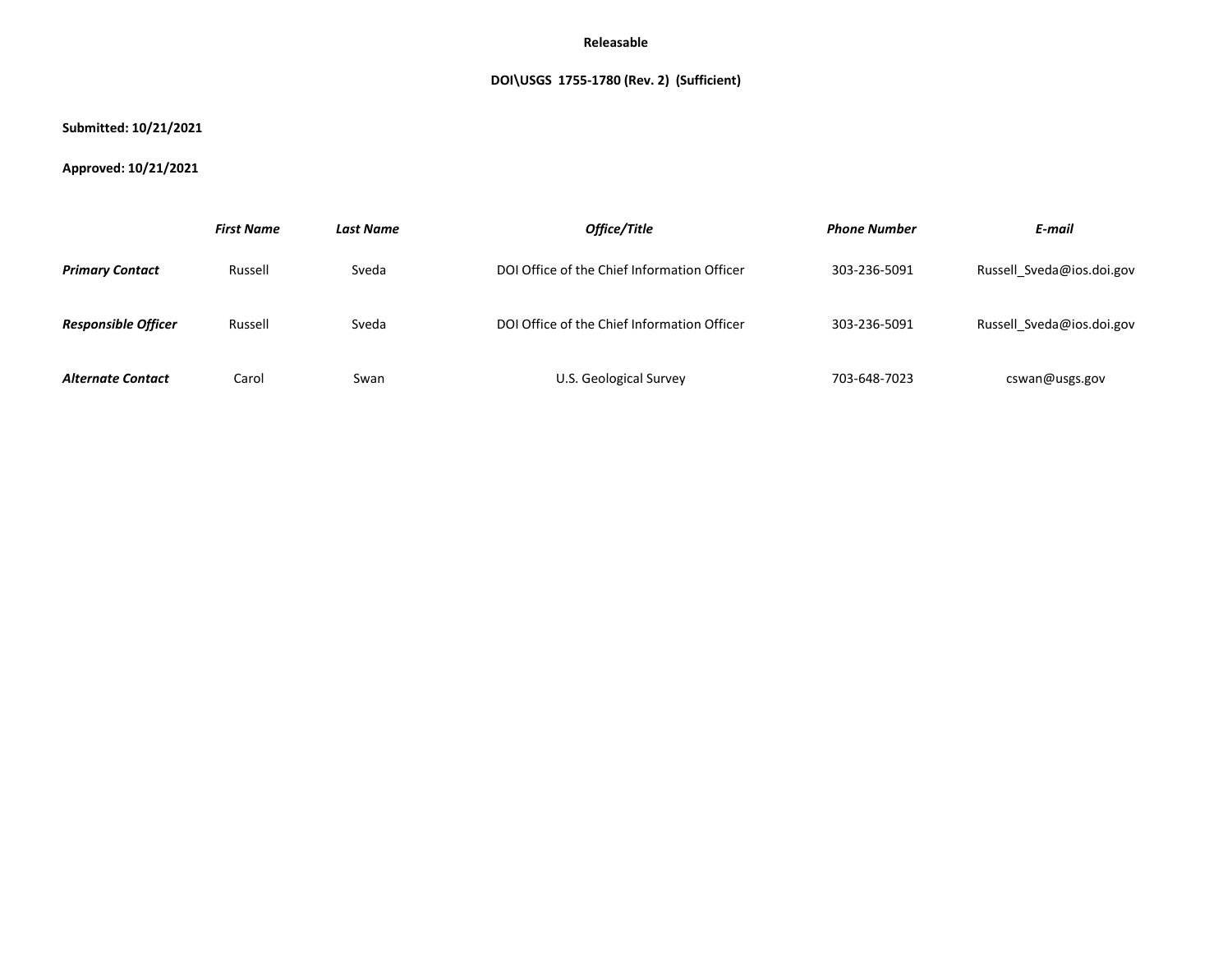# **DOI\USGS 1755-1780 (Rev. 2) (Sufficient)**

## **Submitted: 10/21/2021**

# **Approved: 10/21/2021**

|                            | <b>First Name</b> | <b>Last Name</b> | Office/Title                                | <b>Phone Number</b> | E-mail                    |
|----------------------------|-------------------|------------------|---------------------------------------------|---------------------|---------------------------|
| <b>Primary Contact</b>     | Russell           | Sveda            | DOI Office of the Chief Information Officer | 303-236-5091        | Russell Sveda@ios.doi.gov |
| <b>Responsible Officer</b> | Russell           | Sveda            | DOI Office of the Chief Information Officer | 303-236-5091        | Russell Sveda@ios.doi.gov |
| <b>Alternate Contact</b>   | Carol             | Swan             | U.S. Geological Survey                      | 703-648-7023        | cswan@usgs.gov            |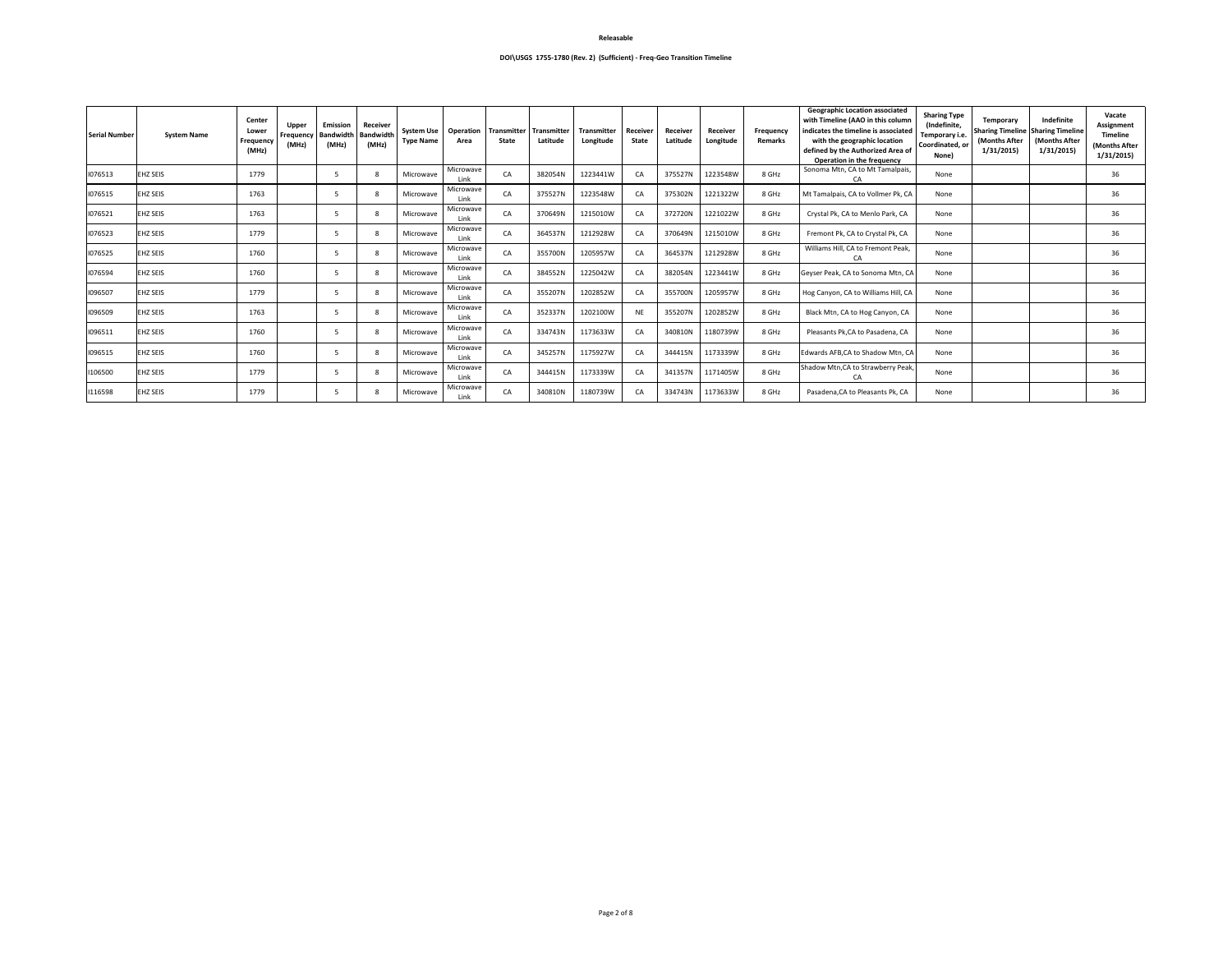| <b>Serial Number</b> | <b>System Name</b> | <b>Center</b><br>Lower<br><b>Frequency</b><br>(MHz) | Upper<br><b>Frequency</b><br>(MHz) | <b>Emission</b><br><b>Bandwidth</b><br>(MHz) | <b>Receiver</b><br><b>Bandwidth</b><br>(MHz) | <b>System Use</b><br><b>Type Name</b> | <b>Operation</b><br>Area | <b>Transmitter</b><br><b>State</b> | <b>Transmitter</b><br>Latitude | <b>Transmitter</b><br>Longitude | Receiver<br><b>State</b> | Receiver<br>Latitude | Receiver<br>Longitude | <b>Frequency</b><br>Remarks | <b>Geographic Location associated</b><br>with Timeline (AAO in this column<br>indicates the timeline is associated<br>with the geographic location<br>defined by the Authorized Area of<br><b>Operation in the frequency</b> | <b>Sharing Type</b><br>(Indefinite,<br>Temporary i.e.<br>Coordinated, or<br>None) | Temporary<br>(Months After<br>1/31/2015 | Indefinite<br><b>Sharing Timeline   Sharing Timeline</b><br>(Months After<br>1/31/2015 | Vacate<br><b>Assignment</b><br><b>Timeline</b><br>(Months After<br>1/31/2015 |
|----------------------|--------------------|-----------------------------------------------------|------------------------------------|----------------------------------------------|----------------------------------------------|---------------------------------------|--------------------------|------------------------------------|--------------------------------|---------------------------------|--------------------------|----------------------|-----------------------|-----------------------------|------------------------------------------------------------------------------------------------------------------------------------------------------------------------------------------------------------------------------|-----------------------------------------------------------------------------------|-----------------------------------------|----------------------------------------------------------------------------------------|------------------------------------------------------------------------------|
| 1076513              | <b>EHZ SEIS</b>    | 1779                                                |                                    | - 5                                          | 8                                            | Microwave                             | Microwave<br>Link        | CA                                 | 382054N                        | 1223441W                        | CA                       | 375527N              | 1223548W              | 8 GHz                       | Sonoma Mtn, CA to Mt Tamalpais,<br>CA                                                                                                                                                                                        | None                                                                              |                                         |                                                                                        | 36                                                                           |
| 1076515              | <b>EHZ SEIS</b>    | 1763                                                |                                    |                                              | -8                                           | Microwave                             | Microwave<br>Link        | CA                                 | 375527N                        | 1223548W                        | CA                       | 375302N              | 1221322W              | 8 GHz                       | Mt Tamalpais, CA to Vollmer Pk, CA                                                                                                                                                                                           | None                                                                              |                                         |                                                                                        | 36                                                                           |
| 1076521              | <b>EHZ SEIS</b>    | 1763                                                |                                    | - 5                                          | -8                                           | Microwave                             | Microwave<br>Link        | CA                                 | 370649N                        | 1215010W                        | CA                       | 372720N              | 1221022W              | 8 GHz                       | Crystal Pk, CA to Menlo Park, CA                                                                                                                                                                                             | None                                                                              |                                         |                                                                                        | 36                                                                           |
| 1076523              | <b>EHZ SEIS</b>    | 1779                                                |                                    | -5                                           | -8                                           | Microwave                             | Microwave<br>Link        | CA                                 | 364537N                        | 1212928W                        | CA                       | 370649N              | 1215010W              | 8 GHz                       | Fremont Pk, CA to Crystal Pk, CA                                                                                                                                                                                             | None                                                                              |                                         |                                                                                        | 36                                                                           |
| 1076525              | <b>EHZ SEIS</b>    | 1760                                                |                                    |                                              | 8                                            | Microwave                             | Microwave<br>Link        | CA                                 | 355700N                        | 1205957W                        | CA                       | 364537N              | 1212928W              | 8 GHz                       | Williams Hill, CA to Fremont Peak,<br>CA.                                                                                                                                                                                    | None                                                                              |                                         |                                                                                        | 36                                                                           |
| 1076594              | <b>EHZ SEIS</b>    | 1760                                                |                                    |                                              | -8                                           | Microwave                             | Microwave<br>Link        | CA                                 | 384552N                        | 1225042W                        | CA                       | 382054N              | 1223441W              | 8 GHz                       | Geyser Peak, CA to Sonoma Mtn, CA                                                                                                                                                                                            | None                                                                              |                                         |                                                                                        | 36                                                                           |
| 1096507              | <b>EHZ SEIS</b>    | 1779                                                |                                    | - 5                                          | -8                                           | Microwave                             | Microwave<br>Link        | CA                                 | 355207N                        | 1202852W                        | CA                       | 355700N              | 1205957W              | 8 GHz                       | Hog Canyon, CA to Williams Hill, CA                                                                                                                                                                                          | None                                                                              |                                         |                                                                                        | 36                                                                           |
| 1096509              | <b>EHZ SEIS</b>    | 1763                                                |                                    |                                              | -8                                           | Microwave                             | Microwave<br>Link        | CA                                 | 352337N                        | 1202100W                        | <b>NE</b>                | 355207N              | 1202852W              | 8 GHz                       | Black Mtn, CA to Hog Canyon, CA                                                                                                                                                                                              | None                                                                              |                                         |                                                                                        | 36                                                                           |
| 1096511              | <b>EHZ SEIS</b>    | 1760                                                |                                    | - 5                                          | 8                                            | Microwave                             | Microwave<br>Link        | CA                                 | 334743N                        | 1173633W                        | CA                       | 340810N              | 1180739W              | 8 GHz                       | Pleasants Pk, CA to Pasadena, CA                                                                                                                                                                                             | None                                                                              |                                         |                                                                                        | 36                                                                           |
| 1096515              | <b>EHZ SEIS</b>    | 1760                                                |                                    | - 5                                          | -8                                           | Microwave                             | Microwave<br>Link        | CA                                 | 345257N                        | 1175927W                        | CA                       | 344415N              | 1173339W              | 8 GHz                       | Edwards AFB, CA to Shadow Mtn, CA                                                                                                                                                                                            | None                                                                              |                                         |                                                                                        | 36                                                                           |
| 1106500              | <b>EHZ SEIS</b>    | 1779                                                |                                    | -5                                           | 8                                            | Microwave                             | Microwave<br>Link        | CA                                 | 344415N                        | 1173339W                        | CA                       | 341357N              | 1171405W              | 8 GHz                       | Shadow Mtn, CA to Strawberry Peak,<br>CA                                                                                                                                                                                     | None                                                                              |                                         |                                                                                        | 36                                                                           |
| 1116598              | <b>EHZ SEIS</b>    | 1779                                                |                                    | -5                                           | -8                                           | Microwave                             | Microwave<br>Link        | CA                                 | 340810N                        | 1180739W                        | CA                       | 334743N              | 1173633W              | 8 GHz                       | Pasadena, CA to Pleasants Pk, CA                                                                                                                                                                                             | None                                                                              |                                         |                                                                                        | 36                                                                           |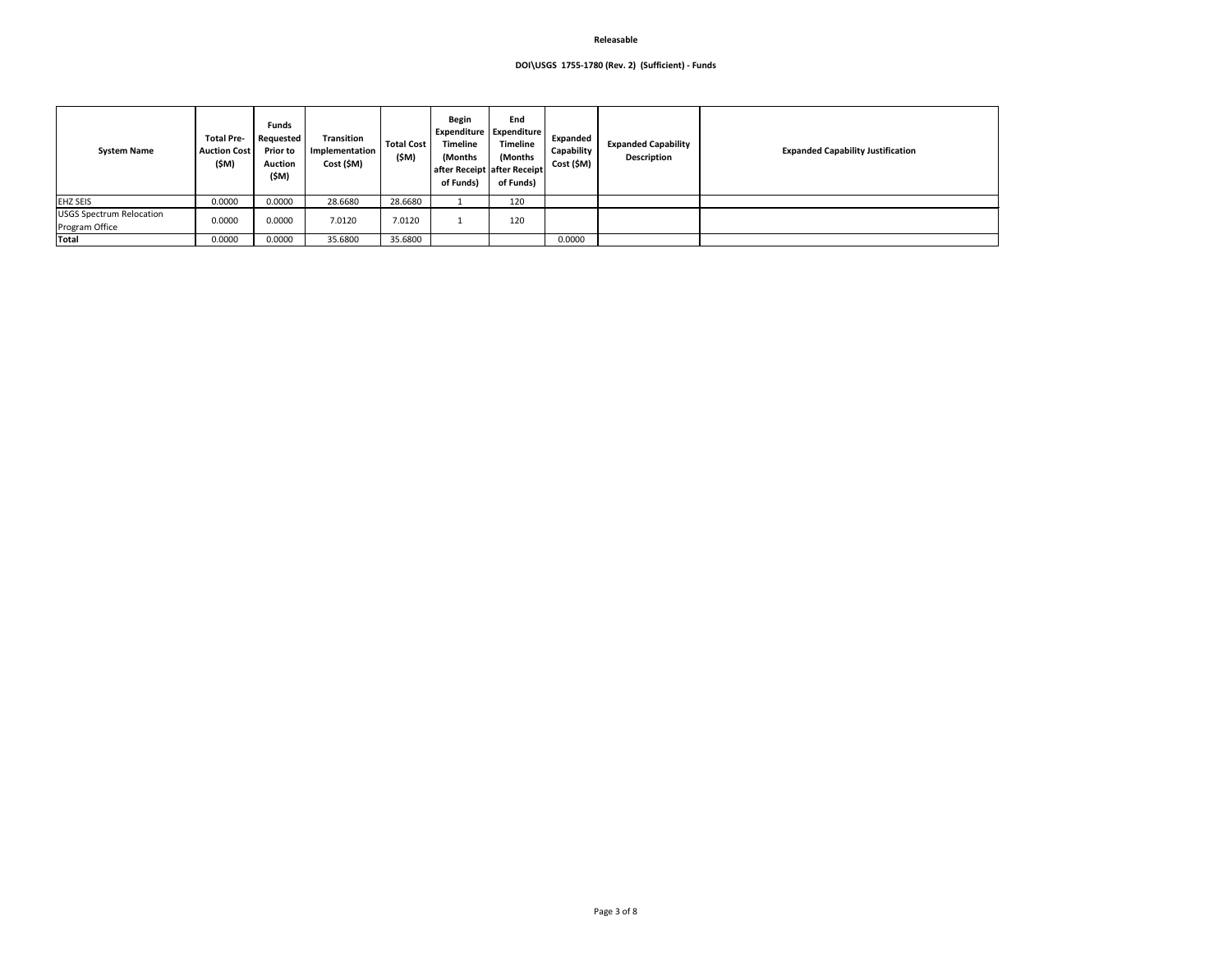## **DOI\USGS 1755-1780 (Rev. 2) (Sufficient) - Funds**

| <b>System Name</b>                                | <b>Total Pre-</b><br><b>Auction Cost</b><br>(\$M) | <b>Funds</b><br>Requested<br><b>Prior to</b><br><b>Auction</b><br>(\$M) | <b>Transition</b><br>Implementation<br>Cost (\$M) | <b>Total Cost</b><br>(\$M) | <b>Begin</b><br><b>Timeline</b><br>(Months)<br>of Funds) | End<br>Expenditure   Expenditure<br><b>Timeline</b><br>(Months)<br>after Receipt after Receipt<br>of Funds) | Expanded<br>Capability<br>Cost (\$M) | <b>Expanded Capability</b><br><b>Description</b> | Expa |
|---------------------------------------------------|---------------------------------------------------|-------------------------------------------------------------------------|---------------------------------------------------|----------------------------|----------------------------------------------------------|-------------------------------------------------------------------------------------------------------------|--------------------------------------|--------------------------------------------------|------|
| <b>EHZ SEIS</b>                                   | 0.0000                                            | 0.0000                                                                  | 28.6680                                           | 28.6680                    |                                                          | 120                                                                                                         |                                      |                                                  |      |
| <b>USGS Spectrum Relocation</b><br>Program Office | 0.0000                                            | 0.0000                                                                  | 7.0120                                            | 7.0120                     |                                                          | 120                                                                                                         |                                      |                                                  |      |
| Total                                             | 0.0000                                            | 0.0000                                                                  | 35.6800                                           | 35.6800                    |                                                          |                                                                                                             | 0.0000                               |                                                  |      |

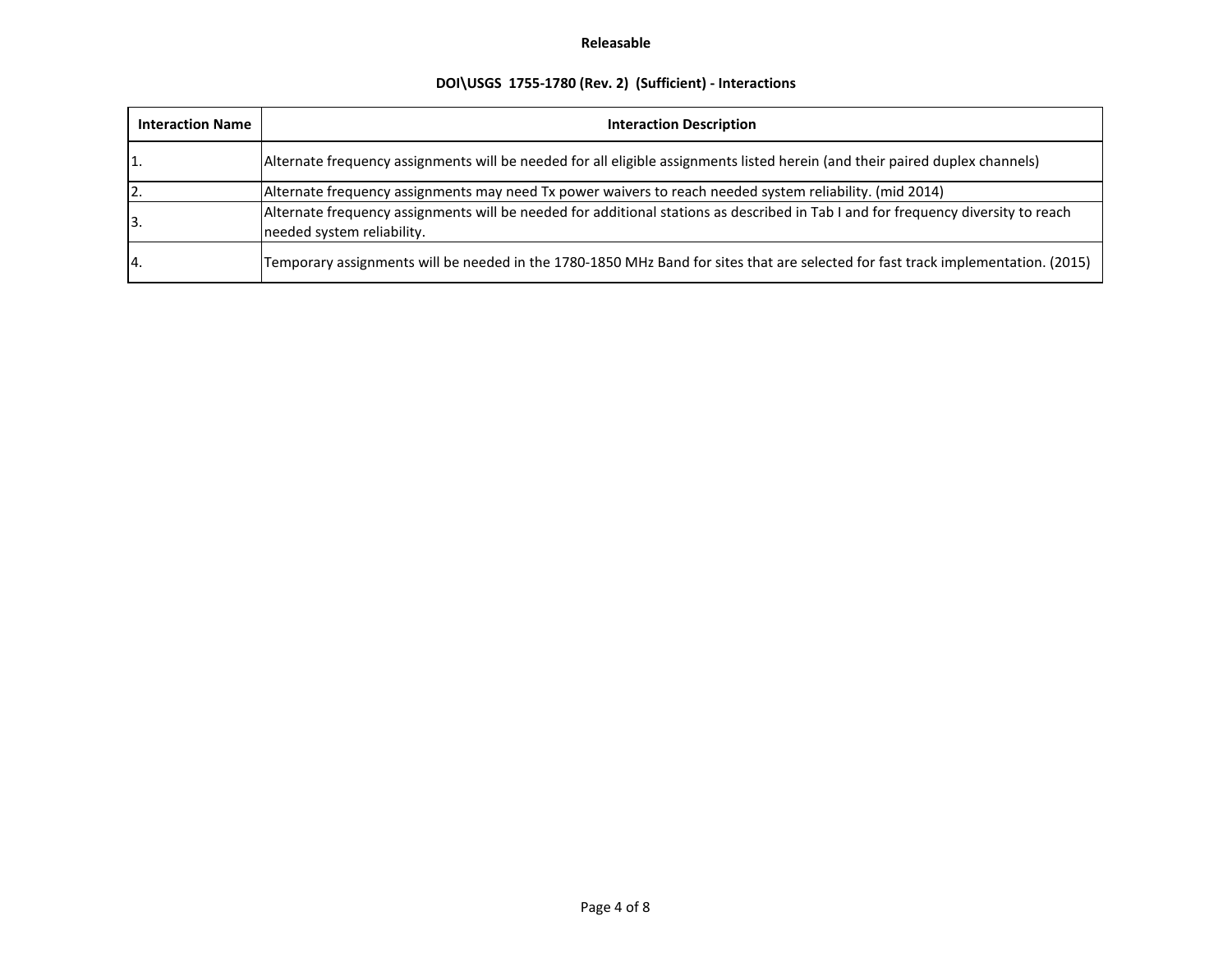# **DOI\USGS 1755-1780 (Rev. 2) (Sufficient) - Interactions**

| <b>Interaction Name</b> | <b>Interaction Description</b>                                                                                                                                  |  |  |  |  |  |  |
|-------------------------|-----------------------------------------------------------------------------------------------------------------------------------------------------------------|--|--|--|--|--|--|
| 11.                     | Alternate frequency assignments will be needed for all eligible assignments listed herein (and their paired duplex channels)                                    |  |  |  |  |  |  |
|                         | Alternate frequency assignments may need Tx power waivers to reach needed system reliability. (mid 2014)                                                        |  |  |  |  |  |  |
| 13.                     | Alternate frequency assignments will be needed for additional stations as described in Tab I and for frequency diversity to reach<br>needed system reliability. |  |  |  |  |  |  |
| 14                      | Temporary assignments will be needed in the 1780-1850 MHz Band for sites that are selected for fast track implementation. (2015)                                |  |  |  |  |  |  |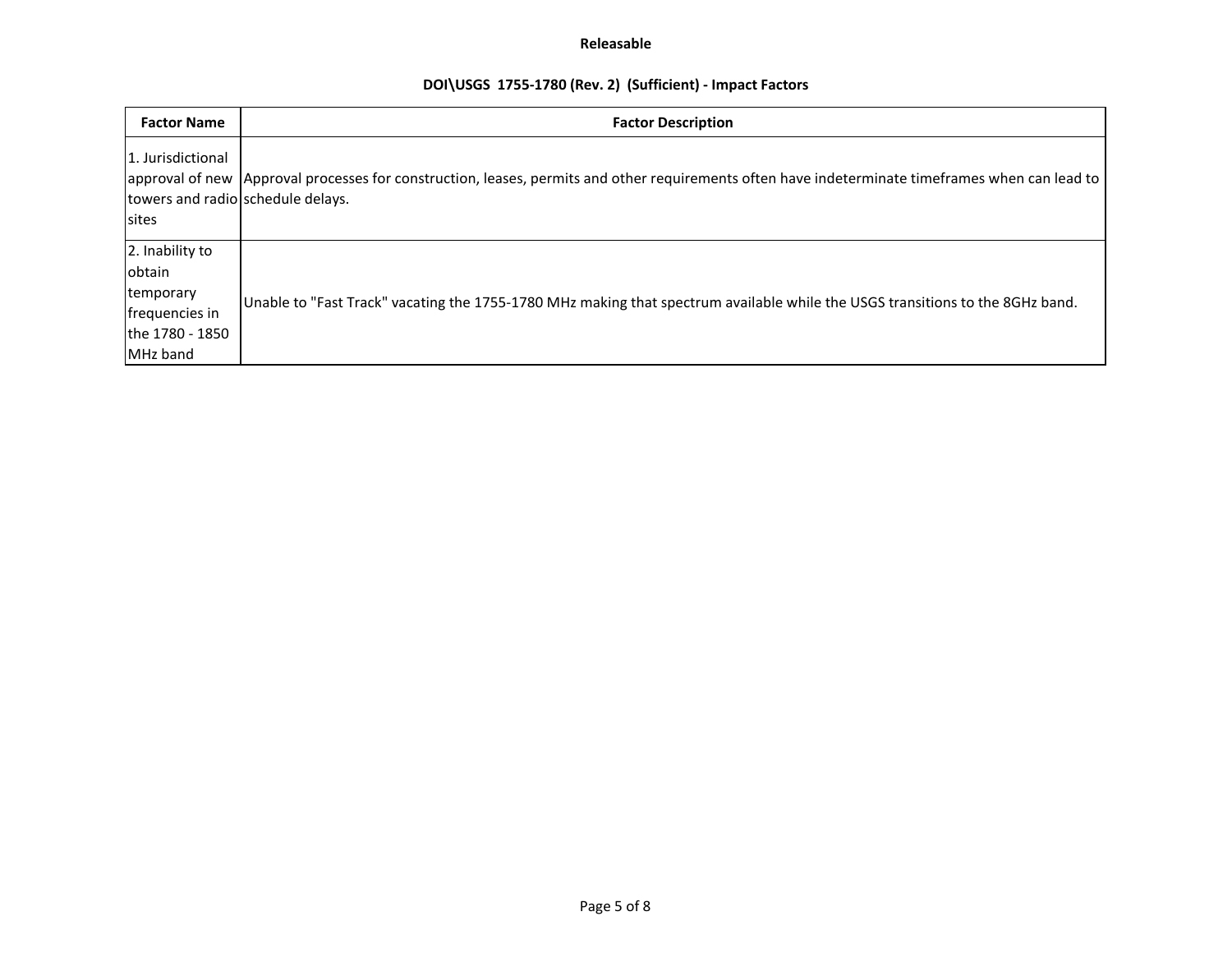# **DOI\USGS 1755-1780 (Rev. 2) (Sufficient) - Impact Factors**

| <b>Factor Name</b>                                                                      | <b>Factor Description</b>                                                                                                                        |
|-----------------------------------------------------------------------------------------|--------------------------------------------------------------------------------------------------------------------------------------------------|
| 1. Jurisdictional<br>towers and radio schedule delays.<br>sites                         | approval of new Approval processes for construction, leases, permits and other requirements often have indeterminate timeframes when can lead to |
| 2. Inability to<br>obtain<br>temporary<br>frequencies in<br>the 1780 - 1850<br>MHz band | Unable to "Fast Track" vacating the 1755-1780 MHz making that spectrum available while the USGS transitions to the 8GHz band.                    |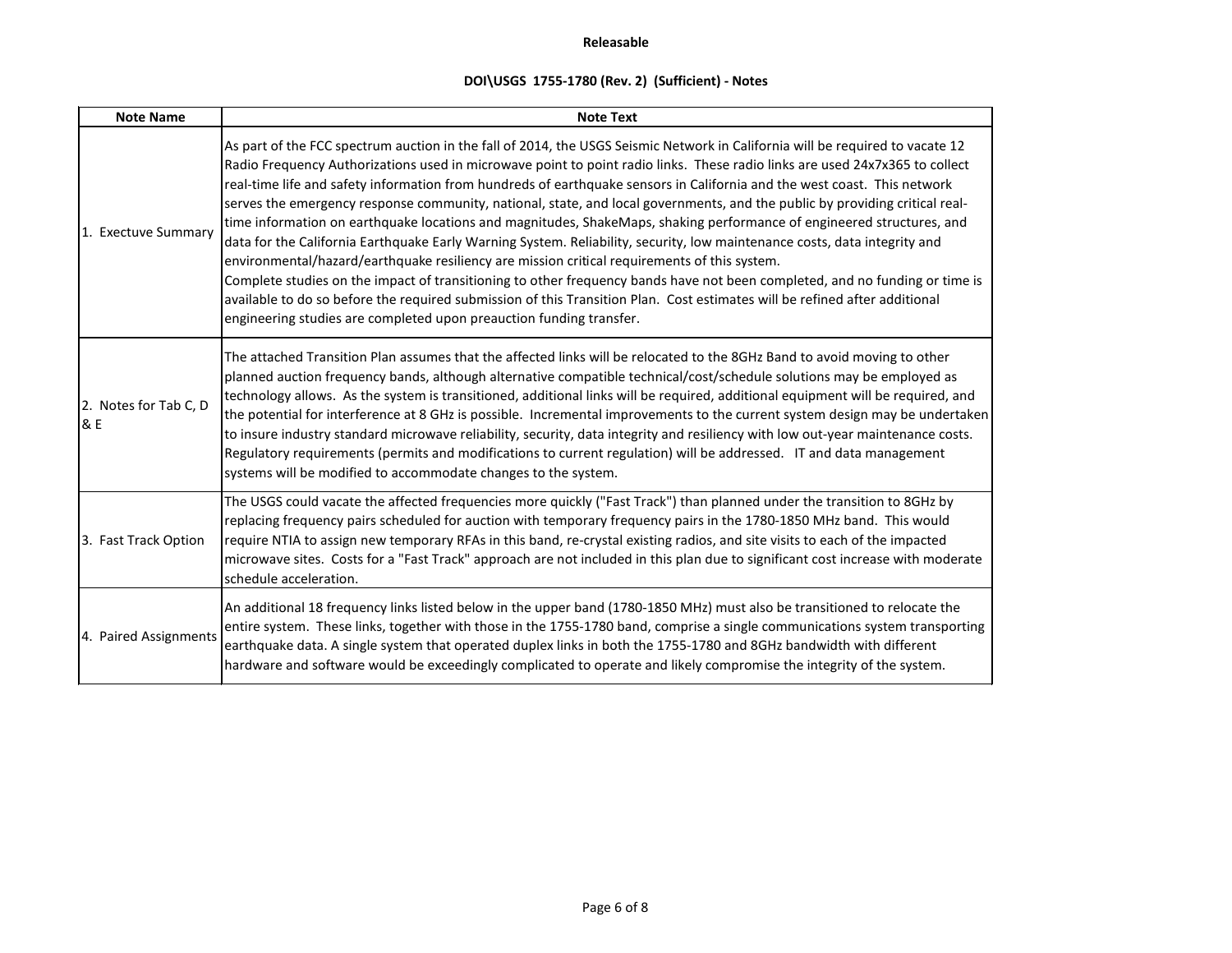# **DOI\USGS 1755-1780 (Rev. 2) (Sufficient) - Notes**

| <b>Note Name</b>             | <b>Note Text</b>                                                                                                                                                                                                                                                                                                                                                                                                                                                                                                                                                                                                                                                                                                                                                                                                                                                                                                                                                                                                                                                                                                                                                                                                  |
|------------------------------|-------------------------------------------------------------------------------------------------------------------------------------------------------------------------------------------------------------------------------------------------------------------------------------------------------------------------------------------------------------------------------------------------------------------------------------------------------------------------------------------------------------------------------------------------------------------------------------------------------------------------------------------------------------------------------------------------------------------------------------------------------------------------------------------------------------------------------------------------------------------------------------------------------------------------------------------------------------------------------------------------------------------------------------------------------------------------------------------------------------------------------------------------------------------------------------------------------------------|
| 1. Exectuve Summary          | As part of the FCC spectrum auction in the fall of 2014, the USGS Seismic Network in California will be required to vacate 12<br>Radio Frequency Authorizations used in microwave point to point radio links. These radio links are used 24x7x365 to collect<br>real-time life and safety information from hundreds of earthquake sensors in California and the west coast. This network<br>serves the emergency response community, national, state, and local governments, and the public by providing critical real-<br>time information on earthquake locations and magnitudes, ShakeMaps, shaking performance of engineered structures, and<br>data for the California Earthquake Early Warning System. Reliability, security, low maintenance costs, data integrity and<br>environmental/hazard/earthquake resiliency are mission critical requirements of this system.<br>Complete studies on the impact of transitioning to other frequency bands have not been completed, and no funding or time is<br>available to do so before the required submission of this Transition Plan. Cost estimates will be refined after additional<br>engineering studies are completed upon preauction funding transfer. |
| 2. Notes for Tab C, D<br>8 E | The attached Transition Plan assumes that the affected links will be relocated to the 8GHz Band to avoid moving to other<br>planned auction frequency bands, although alternative compatible technical/cost/schedule solutions may be employed as<br>technology allows. As the system is transitioned, additional links will be required, additional equipment will be required, and<br>the potential for interference at 8 GHz is possible. Incremental improvements to the current system design may be undertaken<br>to insure industry standard microwave reliability, security, data integrity and resiliency with low out-year maintenance costs.<br>Regulatory requirements (permits and modifications to current regulation) will be addressed. IT and data management<br>systems will be modified to accommodate changes to the system.                                                                                                                                                                                                                                                                                                                                                                  |
| 3. Fast Track Option         | The USGS could vacate the affected frequencies more quickly ("Fast Track") than planned under the transition to 8GHz by<br>replacing frequency pairs scheduled for auction with temporary frequency pairs in the 1780-1850 MHz band. This would<br>require NTIA to assign new temporary RFAs in this band, re-crystal existing radios, and site visits to each of the impacted<br>microwave sites. Costs for a "Fast Track" approach are not included in this plan due to significant cost increase with moderate<br>schedule acceleration.                                                                                                                                                                                                                                                                                                                                                                                                                                                                                                                                                                                                                                                                       |
| 4. Paired Assignments        | An additional 18 frequency links listed below in the upper band (1780-1850 MHz) must also be transitioned to relocate the<br>entire system. These links, together with those in the 1755-1780 band, comprise a single communications system transporting<br>earthquake data. A single system that operated duplex links in both the 1755-1780 and 8GHz bandwidth with different<br>hardware and software would be exceedingly complicated to operate and likely compromise the integrity of the system.                                                                                                                                                                                                                                                                                                                                                                                                                                                                                                                                                                                                                                                                                                           |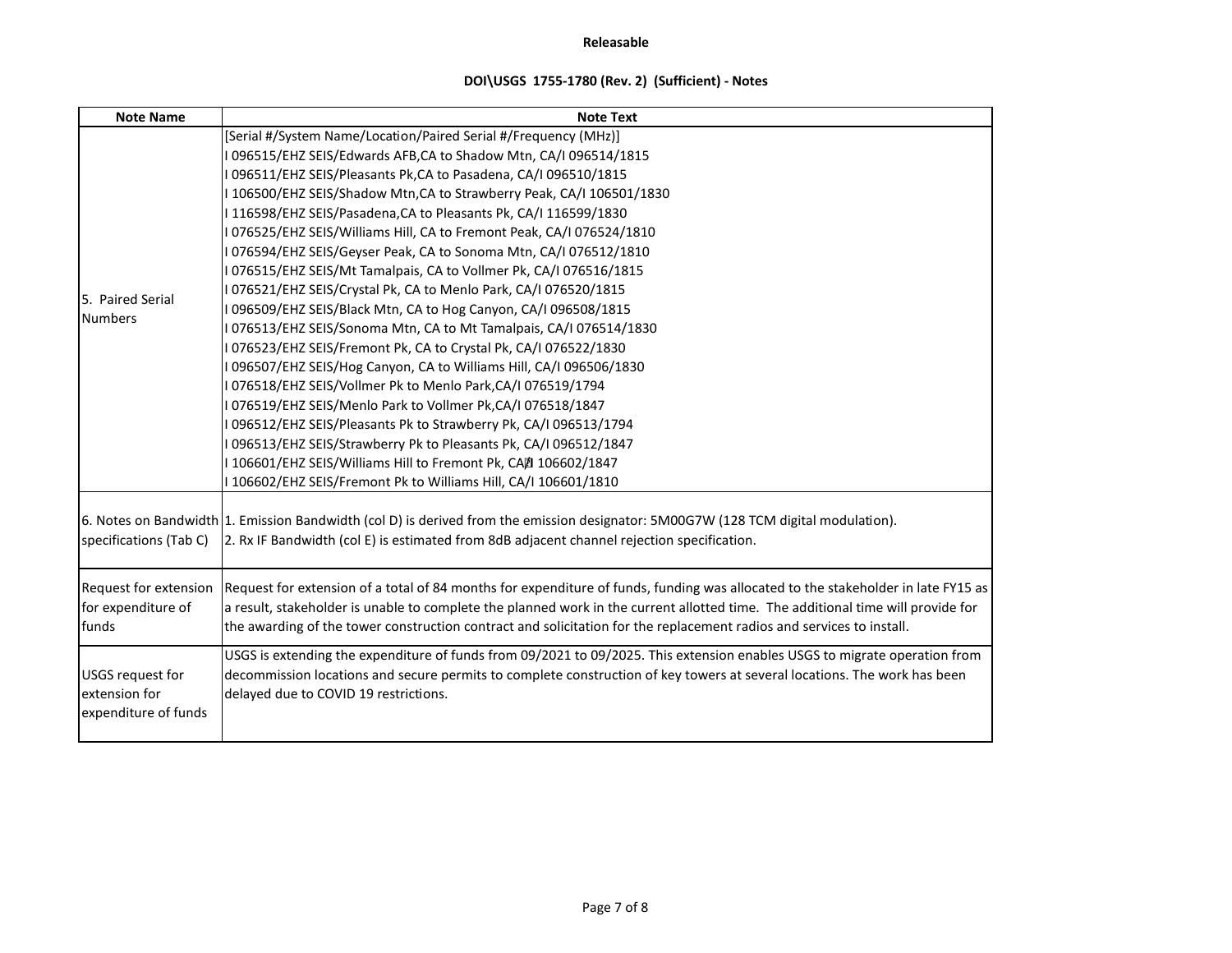# **DOI\USGS 1755-1780 (Rev. 2) (Sufficient) - Notes**

| <b>Note Name</b>                                                 | <b>Note Text</b>                                                                                                                                                                                                                                                                                                                                                                            |
|------------------------------------------------------------------|---------------------------------------------------------------------------------------------------------------------------------------------------------------------------------------------------------------------------------------------------------------------------------------------------------------------------------------------------------------------------------------------|
|                                                                  | [Serial #/System Name/Location/Paired Serial #/Frequency (MHz)]                                                                                                                                                                                                                                                                                                                             |
|                                                                  | I 096515/EHZ SEIS/Edwards AFB,CA to Shadow Mtn, CA/I 096514/1815                                                                                                                                                                                                                                                                                                                            |
|                                                                  | 096511/EHZ SEIS/Pleasants Pk,CA to Pasadena, CA/I 096510/1815                                                                                                                                                                                                                                                                                                                               |
|                                                                  | 106500/EHZ SEIS/Shadow Mtn, CA to Strawberry Peak, CA/I 106501/1830                                                                                                                                                                                                                                                                                                                         |
|                                                                  | I 116598/EHZ SEIS/Pasadena, CA to Pleasants Pk, CA/I 116599/1830                                                                                                                                                                                                                                                                                                                            |
|                                                                  | 076525/EHZ SEIS/Williams Hill, CA to Fremont Peak, CA/I 076524/1810                                                                                                                                                                                                                                                                                                                         |
|                                                                  | 076594/EHZ SEIS/Geyser Peak, CA to Sonoma Mtn, CA/I 076512/1810                                                                                                                                                                                                                                                                                                                             |
|                                                                  | 076515/EHZ SEIS/Mt Tamalpais, CA to Vollmer Pk, CA/I 076516/1815                                                                                                                                                                                                                                                                                                                            |
| 5. Paired Serial                                                 | I 076521/EHZ SEIS/Crystal Pk, CA to Menlo Park, CA/I 076520/1815                                                                                                                                                                                                                                                                                                                            |
| <b>Numbers</b>                                                   | I 096509/EHZ SEIS/Black Mtn, CA to Hog Canyon, CA/I 096508/1815                                                                                                                                                                                                                                                                                                                             |
|                                                                  | 076513/EHZ SEIS/Sonoma Mtn, CA to Mt Tamalpais, CA/I 076514/1830                                                                                                                                                                                                                                                                                                                            |
|                                                                  | I 076523/EHZ SEIS/Fremont Pk, CA to Crystal Pk, CA/I 076522/1830                                                                                                                                                                                                                                                                                                                            |
|                                                                  | I 096507/EHZ SEIS/Hog Canyon, CA to Williams Hill, CA/I 096506/1830                                                                                                                                                                                                                                                                                                                         |
|                                                                  | I 076518/EHZ SEIS/Vollmer Pk to Menlo Park,CA/I 076519/1794                                                                                                                                                                                                                                                                                                                                 |
|                                                                  | I 076519/EHZ SEIS/Menlo Park to Vollmer Pk,CA/I 076518/1847                                                                                                                                                                                                                                                                                                                                 |
|                                                                  | I 096512/EHZ SEIS/Pleasants Pk to Strawberry Pk, CA/I 096513/1794                                                                                                                                                                                                                                                                                                                           |
|                                                                  | 096513/EHZ SEIS/Strawberry Pk to Pleasants Pk, CA/I 096512/1847                                                                                                                                                                                                                                                                                                                             |
|                                                                  | 106601/EHZ SEIS/Williams Hill to Fremont Pk, CA团 106602/1847                                                                                                                                                                                                                                                                                                                                |
|                                                                  | 106602/EHZ SEIS/Fremont Pk to Williams Hill, CA/I 106601/1810                                                                                                                                                                                                                                                                                                                               |
| specifications (Tab C)                                           | 6. Notes on Bandwidth 1. Emission Bandwidth (col D) is derived from the emission designator: 5M00G7W (128 TCM digital modulation).<br>2. Rx IF Bandwidth (col E) is estimated from 8dB adjacent channel rejection specification.                                                                                                                                                            |
| <b>Request for extension</b><br>for expenditure of<br>funds      | Request for extension of a total of 84 months for expenditure of funds, funding was allocated to the stakeholder in late FY15 as<br>a result, stakeholder is unable to complete the planned work in the current allotted time. The additional time will provide for<br>the awarding of the tower construction contract and solicitation for the replacement radios and services to install. |
| <b>USGS request for</b><br>extension for<br>expenditure of funds | USGS is extending the expenditure of funds from 09/2021 to 09/2025. This extension enables USGS to migrate operation from<br>decommission locations and secure permits to complete construction of key towers at several locations. The work has been<br>delayed due to COVID 19 restrictions.                                                                                              |